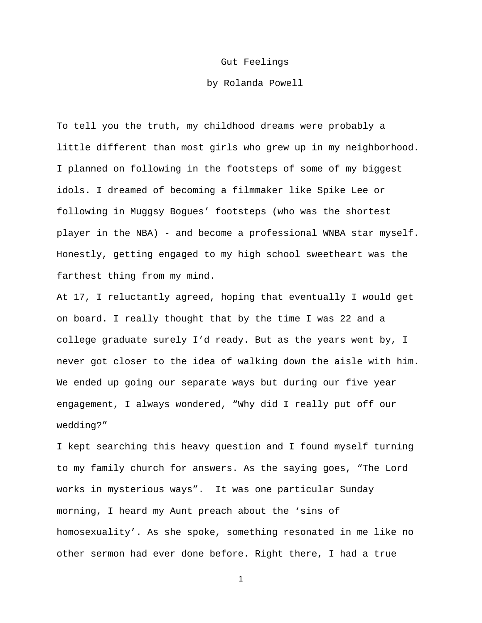## Gut Feelings

## by Rolanda Powell

To tell you the truth, my childhood dreams were probably a little different than most girls who grew up in my neighborhood. I planned on following in the footsteps of some of my biggest idols. I dreamed of becoming a filmmaker like Spike Lee or following in Muggsy Bogues' footsteps (who was the shortest player in the NBA) - and become a professional WNBA star myself. Honestly, getting engaged to my high school sweetheart was the farthest thing from my mind.

At 17, I reluctantly agreed, hoping that eventually I would get on board. I really thought that by the time I was 22 and a college graduate surely I'd ready. But as the years went by, I never got closer to the idea of walking down the aisle with him. We ended up going our separate ways but during our five year engagement, I always wondered, "Why did I really put off our wedding?"

I kept searching this heavy question and I found myself turning to my family church for answers. As the saying goes, "The Lord works in mysterious ways". It was one particular Sunday morning, I heard my Aunt preach about the 'sins of homosexuality'. As she spoke, something resonated in me like no other sermon had ever done before. Right there, I had a true

1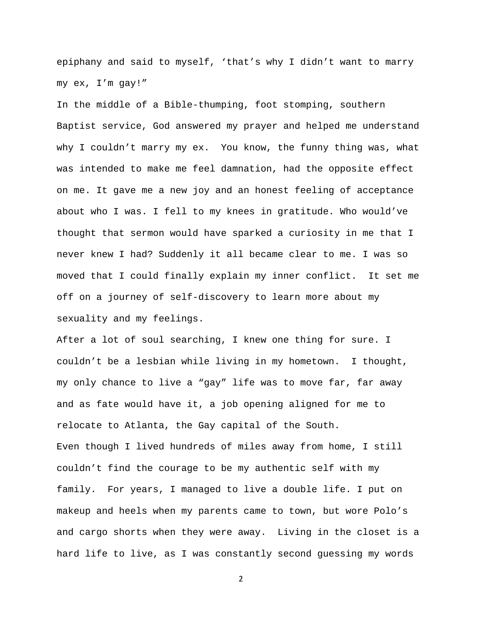epiphany and said to myself, 'that's why I didn't want to marry my ex, I'm gay!"

In the middle of a Bible-thumping, foot stomping, southern Baptist service, God answered my prayer and helped me understand why I couldn't marry my ex. You know, the funny thing was, what was intended to make me feel damnation, had the opposite effect on me. It gave me a new joy and an honest feeling of acceptance about who I was. I fell to my knees in gratitude. Who would've thought that sermon would have sparked a curiosity in me that I never knew I had? Suddenly it all became clear to me. I was so moved that I could finally explain my inner conflict. It set me off on a journey of self-discovery to learn more about my sexuality and my feelings.

After a lot of soul searching, I knew one thing for sure. I couldn't be a lesbian while living in my hometown. I thought, my only chance to live a "gay" life was to move far, far away and as fate would have it, a job opening aligned for me to relocate to Atlanta, the Gay capital of the South. Even though I lived hundreds of miles away from home, I still couldn't find the courage to be my authentic self with my family. For years, I managed to live a double life. I put on makeup and heels when my parents came to town, but wore Polo's and cargo shorts when they were away. Living in the closet is a hard life to live, as I was constantly second guessing my words

2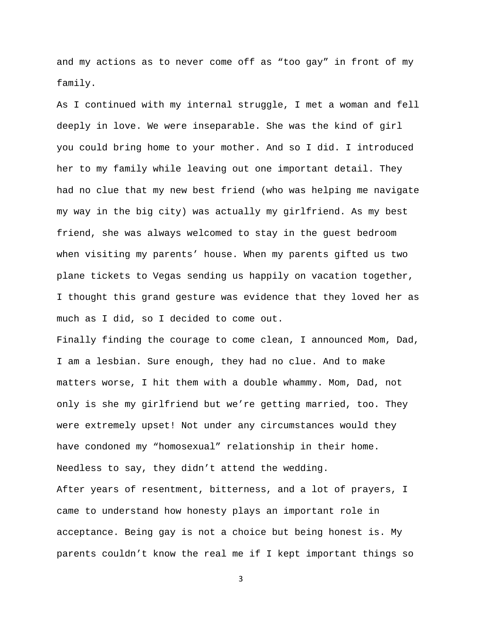and my actions as to never come off as "too gay" in front of my family.

As I continued with my internal struggle, I met a woman and fell deeply in love. We were inseparable. She was the kind of girl you could bring home to your mother. And so I did. I introduced her to my family while leaving out one important detail. They had no clue that my new best friend (who was helping me navigate my way in the big city) was actually my girlfriend. As my best friend, she was always welcomed to stay in the guest bedroom when visiting my parents' house. When my parents gifted us two plane tickets to Vegas sending us happily on vacation together, I thought this grand gesture was evidence that they loved her as much as I did, so I decided to come out.

Finally finding the courage to come clean, I announced Mom, Dad, I am a lesbian. Sure enough, they had no clue. And to make matters worse, I hit them with a double whammy. Mom, Dad, not only is she my girlfriend but we're getting married, too. They were extremely upset! Not under any circumstances would they have condoned my "homosexual" relationship in their home. Needless to say, they didn't attend the wedding. After years of resentment, bitterness, and a lot of prayers, I came to understand how honesty plays an important role in acceptance. Being gay is not a choice but being honest is. My parents couldn't know the real me if I kept important things so

3